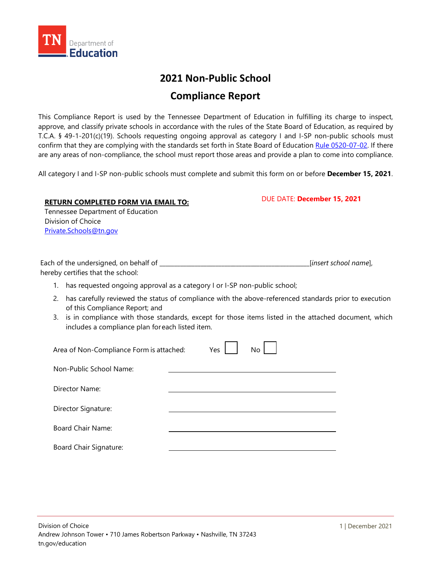

## **2021 Non-Public School**

## **Compliance Report**

This Compliance Report is used by the Tennessee Department of Education in fulfilling its charge to inspect, approve, and classify private schools in accordance with the rules of the State Board of Education, as required by T.C.A. § 49-1-201(c)(19). Schools requesting ongoing approval as category I and I-SP non-public schools must confirm that they are complying with the standards set forth in State Board of Education [Rule 0520-07-02.](https://publications.tnsosfiles.com/rules/0520/0520-07/0520-07-02.20201014.pdf) If there are any areas of non-compliance, the school must report those areas and provide a plan to come into compliance.

All category I and I-SP non-public schools must complete and submit this form on or before **December 15, 2021**.

## **RETURN COMPLETED FORM VIA EMAIL TO:**

DUE DATE: **December 15, 2021**

Tennessee Department of Education Division of Choice [Private.Schools@tn.gov](mailto:Private.Schools@tn.gov)

| Each of the undersigned, on behalf of | [insert school name], |
|---------------------------------------|-----------------------|
| hereby certifies that the school:     |                       |

- 1. has requested ongoing approval as a category I or I-SP non-public school;
- 2. has carefully reviewed the status of compliance with the above-referenced standards prior to execution of this Compliance Report; and
- 3. is in compliance with those standards, except for those items listed in the attached document, which includes a compliance plan foreach listed item.

| Area of Non-Compliance Form is attached: | Yes | No <sub>1</sub> |  |
|------------------------------------------|-----|-----------------|--|
| Non-Public School Name:                  |     |                 |  |
| Director Name:                           |     |                 |  |
| Director Signature:                      |     |                 |  |
| Board Chair Name:                        |     |                 |  |
| <b>Board Chair Signature:</b>            |     |                 |  |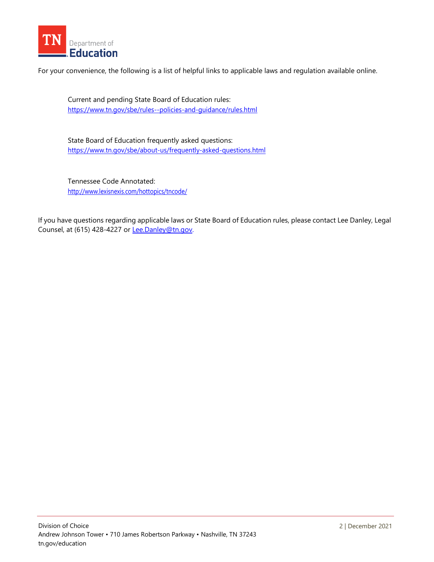

For your convenience, the following is a list of helpful links to applicable laws and regulation available online.

Current and pending State Board of Education rules: <https://www.tn.gov/sbe/rules--policies-and-guidance/rules.html>

State Board of Education frequently asked questions: <https://www.tn.gov/sbe/about-us/frequently-asked-questions.html>

Tennessee Code Annotated: <http://www.lexisnexis.com/hottopics/tncode/>

If you have questions regarding applicable laws or State Board of Education rules, please contact Lee Danley, Legal Counsel, at (615) 428-4227 or [Lee.Danley@tn.gov.](mailto:Lee.Danley@tn.gov)